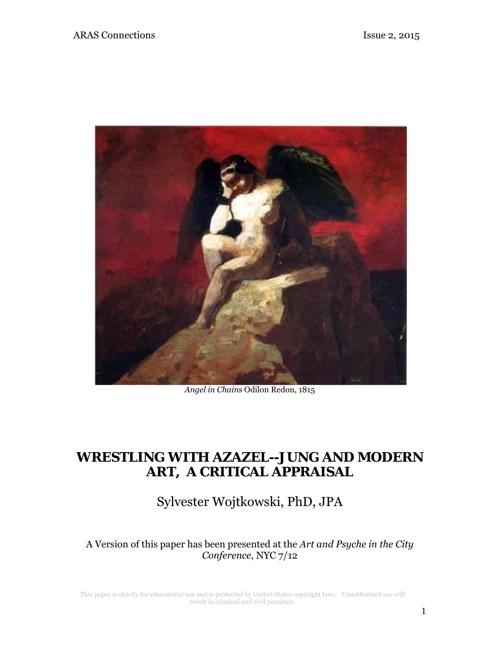

*Angel in Chains* Odilon Redon, 1815

# **WRESTLING WITH AZAZEL--JUNG AND MODERN ART, A CRITICAL APPRAISAL**

Sylvester Wojtkowski, PhD, JPA

A Version of this paper has been presented at the *Art and Psyche in the City Conference*, NYC 7/12

This paper is strictly for educational use and is protected by United States copyright laws. Unauthorized use will result in criminal and civil penalties.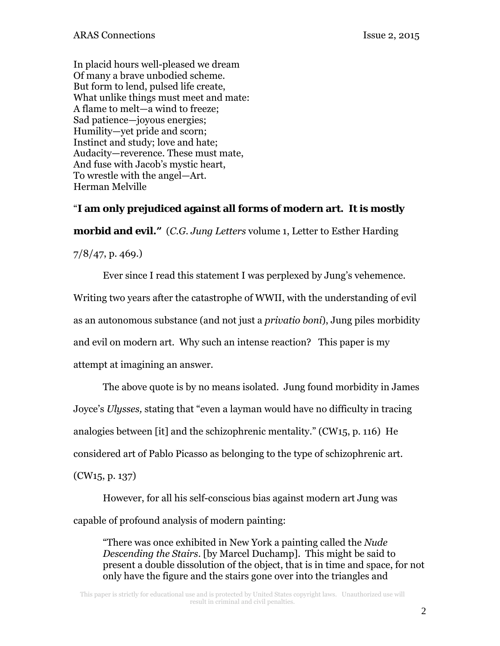In placid hours well-pleased we dream Of many a brave unbodied scheme. But form to lend, pulsed life create, What unlike things must meet and mate: A flame to melt—a wind to freeze; Sad patience—joyous energies; Humility—yet pride and scorn; Instinct and study; love and hate; Audacity—reverence. These must mate, And fuse with Jacob's mystic heart, To wrestle with the angel—Art. Herman Melville

### "**I am only prejudiced against all forms of modern art. It is mostly**

**morbid and evil."** (*C.G. Jung Letters* volume 1, Letter to Esther Harding

7/8/47, p. 469.)

 Ever since I read this statement I was perplexed by Jung's vehemence. Writing two years after the catastrophe of WWII, with the understanding of evil as an autonomous substance (and not just a *privatio boni*), Jung piles morbidity and evil on modern art. Why such an intense reaction? This paper is my attempt at imagining an answer.

 The above quote is by no means isolated. Jung found morbidity in James Joyce's *Ulysses,* stating that "even a layman would have no difficulty in tracing analogies between [it] and the schizophrenic mentality." (CW15, p. 116) He considered art of Pablo Picasso as belonging to the type of schizophrenic art. (CW15, p. 137)

However, for all his self-conscious bias against modern art Jung was capable of profound analysis of modern painting:

"There was once exhibited in New York a painting called the *Nude Descending the Stairs*. [by Marcel Duchamp]. This might be said to present a double dissolution of the object, that is in time and space, for not only have the figure and the stairs gone over into the triangles and

This paper is strictly for educational use and is protected by United States copyright laws. Unauthorized use will result in criminal and civil penalties.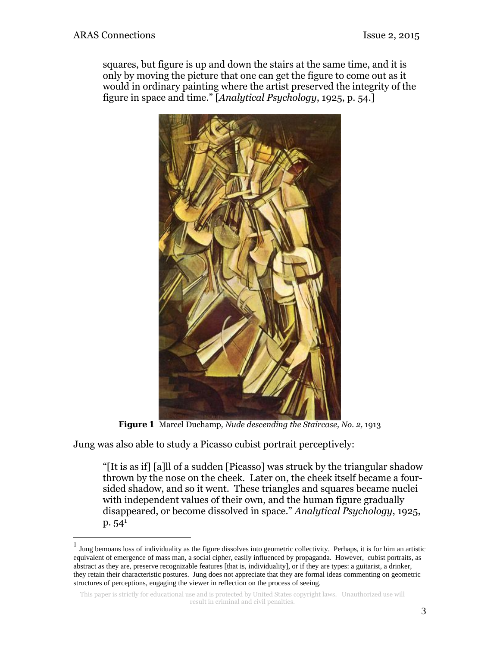squares, but figure is up and down the stairs at the same time, and it is only by moving the picture that one can get the figure to come out as it would in ordinary painting where the artist preserved the integrity of the figure in space and time." [*Analytical Psychology*, 1925, p. 54.]



*Figure 1* Marcel Duchamp*, Nude descending the Staircase, No. 2,* 1913

Jung was also able to study a Picasso cubist portrait perceptively:

"[It is as if] [a]ll of a sudden [Picasso] was struck by the triangular shadow thrown by the nose on the cheek. Later on, the cheek itself became a foursided shadow, and so it went. These triangles and squares became nuclei with independent values of their own, and the human figure gradually disappeared, or become dissolved in space." *Analytical Psychology*, 1925,  $p. 54<sup>1</sup>$ 

 $<sup>1</sup>$  Jung bemoans loss of individuality as the figure dissolves into geometric collectivity. Perhaps, it is for him an artistic</sup> equivalent of emergence of mass man, a social cipher, easily influenced by propaganda. However, cubist portraits, as abstract as they are, preserve recognizable features [that is, individuality], or if they are types: a guitarist, a drinker, they retain their characteristic postures. Jung does not appreciate that they are formal ideas commenting on geometric structures of perceptions, engaging the viewer in reflection on the process of seeing.

This paper is strictly for educational use and is protected by United States copyright laws. Unauthorized use will result in criminal and civil penalties.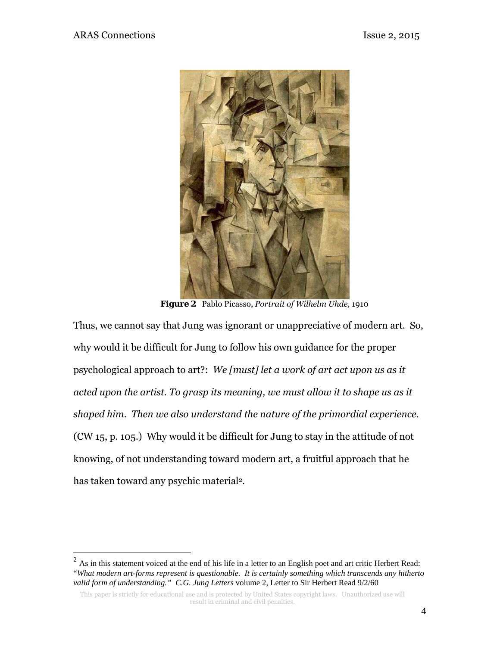1



*Figure 2* Pablo Picasso, *Portrait of Wilhelm Uhde,* 1910

Thus, we cannot say that Jung was ignorant or unappreciative of modern art. So, why would it be difficult for Jung to follow his own guidance for the proper psychological approach to art?: *We [must] let a work of art act upon us as it acted upon the artist. To grasp its meaning, we must allow it to shape us as it shaped him. Then we also understand the nature of the primordial experience.*  (CW 15, p. 105.) Why would it be difficult for Jung to stay in the attitude of not knowing, of not understanding toward modern art, a fruitful approach that he has taken toward any psychic material<sup>2</sup>.

 $2^2$  As in this statement voiced at the end of his life in a letter to an English poet and art critic Herbert Read: "*What modern art-forms represent is questionable. It is certainly something which transcends any hitherto valid form of understanding." C.G. Jung Letters* volume 2, Letter to Sir Herbert Read 9/2/60

This paper is strictly for educational use and is protected by United States copyright laws. Unauthorized use will result in criminal and civil penalties.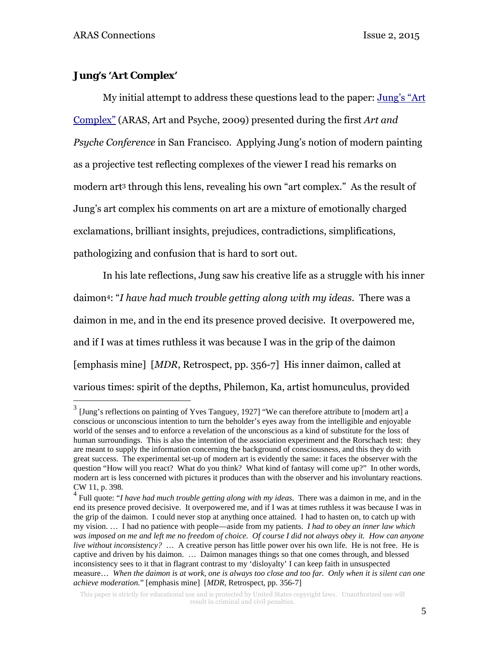<u>.</u>

### **Jung's 'Art Complex'**

 My initial attempt to address these questions lead to the paper: [Jung's "Art](http://aras.org/sites/default/files/docs/00028Wojtkowski.pdf)  [Complex" \(](http://aras.org/sites/default/files/docs/00028Wojtkowski.pdf)ARAS, Art and Psyche, 2009) presented during the first *Art and Psyche Conference* in San Francisco. Applying Jung's notion of modern painting as a projective test reflecting complexes of the viewer I read his remarks on modern art3 through this lens, revealing his own "art complex." As the result of Jung's art complex his comments on art are a mixture of emotionally charged exclamations, brilliant insights, prejudices, contradictions, simplifications, pathologizing and confusion that is hard to sort out.

In his late reflections, Jung saw his creative life as a struggle with his inner daimon4: "*I have had much trouble getting along with my ideas*. There was a daimon in me, and in the end its presence proved decisive. It overpowered me, and if I was at times ruthless it was because I was in the grip of the daimon [emphasis mine] [*MDR*, Retrospect, pp. 356-7] His inner daimon, called at various times: spirit of the depths, Philemon, Ka, artist homunculus, provided

 $3$  [Jung's reflections on painting of Yves Tanguey, 1927] "We can therefore attribute to [modern art] a conscious or unconscious intention to turn the beholder's eyes away from the intelligible and enjoyable world of the senses and to enforce a revelation of the unconscious as a kind of substitute for the loss of human surroundings. This is also the intention of the association experiment and the Rorschach test: they are meant to supply the information concerning the background of consciousness, and this they do with great success. The experimental set-up of modern art is evidently the same: it faces the observer with the question "How will you react? What do you think? What kind of fantasy will come up?" In other words, modern art is less concerned with pictures it produces than with the observer and his involuntary reactions. CW 11, p. 398.

<sup>4</sup> Full quote: "*I have had much trouble getting along with my ideas*. There was a daimon in me, and in the end its presence proved decisive. It overpowered me, and if I was at times ruthless it was because I was in the grip of the daimon. I could never stop at anything once attained. I had to hasten on, to catch up with my vision. … I had no patience with people—aside from my patients. *I had to obey an inner law which was imposed on me and left me no freedom of choice. Of course I did not always obey it. How can anyone live without inconsistency?* … A creative person has little power over his own life. He is not free. He is captive and driven by his daimon. … Daimon manages things so that one comes through, and blessed inconsistency sees to it that in flagrant contrast to my 'disloyalty' I can keep faith in unsuspected measure… *When the daimon is at work, one is always too close and too far. Only when it is silent can one achieve moderation.*" [emphasis mine] [*MDR*, Retrospect, pp. 356-7]

This paper is strictly for educational use and is protected by United States copyright laws. Unauthorized use will result in criminal and civil penalties.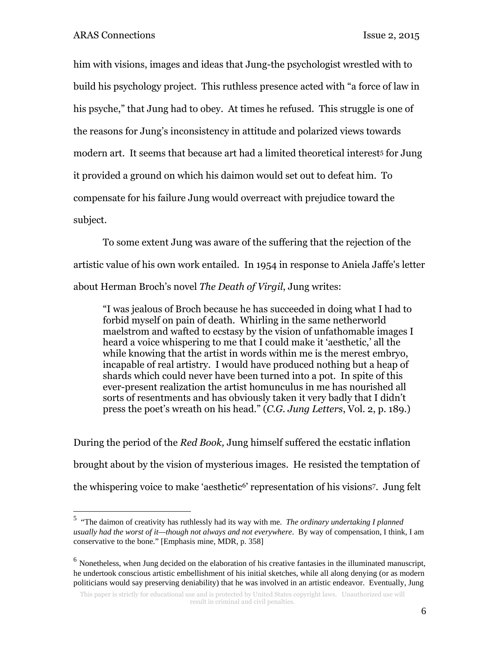him with visions, images and ideas that Jung-the psychologist wrestled with to build his psychology project. This ruthless presence acted with "a force of law in his psyche," that Jung had to obey. At times he refused. This struggle is one of the reasons for Jung's inconsistency in attitude and polarized views towards modern art. It seems that because art had a limited theoretical interest<sup>5</sup> for Jung it provided a ground on which his daimon would set out to defeat him. To compensate for his failure Jung would overreact with prejudice toward the subject.

 To some extent Jung was aware of the suffering that the rejection of the artistic value of his own work entailed. In 1954 in response to Aniela Jaffe's letter about Herman Broch's novel *The Death of Virgil*, Jung writes:

"I was jealous of Broch because he has succeeded in doing what I had to forbid myself on pain of death. Whirling in the same netherworld maelstrom and wafted to ecstasy by the vision of unfathomable images I heard a voice whispering to me that I could make it 'aesthetic,' all the while knowing that the artist in words within me is the merest embryo, incapable of real artistry. I would have produced nothing but a heap of shards which could never have been turned into a pot. In spite of this ever-present realization the artist homunculus in me has nourished all sorts of resentments and has obviously taken it very badly that I didn't press the poet's wreath on his head." (*C.G. Jung Letters*, Vol. 2, p. 189.)

During the period of the *Red Book,* Jung himself suffered the ecstatic inflation brought about by the vision of mysterious images. He resisted the temptation of the whispering voice to make 'aesthetic6' representation of his visions7. Jung felt

<sup>5</sup> "The daimon of creativity has ruthlessly had its way with me. *The ordinary undertaking I planned usually had the worst of it—though not always and not everywhere*. By way of compensation, I think, I am conservative to the bone." [Emphasis mine, MDR, p. 358]

 $<sup>6</sup>$  Nonetheless, when Jung decided on the elaboration of his creative fantasies in the illuminated manuscript,</sup> he undertook conscious artistic embellishment of his initial sketches, while all along denying (or as modern politicians would say preserving deniability) that he was involved in an artistic endeavor. Eventually, Jung

This paper is strictly for educational use and is protected by United States copyright laws. Unauthorized use will result in criminal and civil penalties.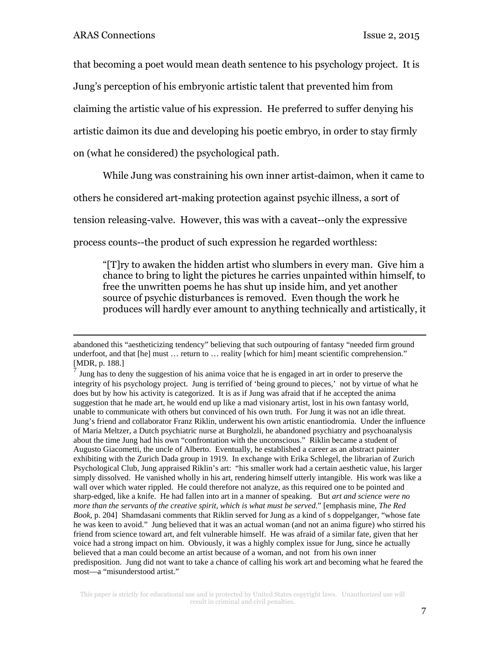that becoming a poet would mean death sentence to his psychology project. It is Jung's perception of his embryonic artistic talent that prevented him from claiming the artistic value of his expression. He preferred to suffer denying his artistic daimon its due and developing his poetic embryo, in order to stay firmly on (what he considered) the psychological path.

While Jung was constraining his own inner artist-daimon, when it came to

others he considered art-making protection against psychic illness, a sort of

tension releasing-valve. However, this was with a caveat--only the expressive

process counts--the product of such expression he regarded worthless:

"[T]ry to awaken the hidden artist who slumbers in every man. Give him a chance to bring to light the pictures he carries unpainted within himself, to free the unwritten poems he has shut up inside him, and yet another source of psychic disturbances is removed. Even though the work he produces will hardly ever amount to anything technically and artistically, it

abandoned this "aestheticizing tendency" believing that such outpouring of fantasy "needed firm ground underfoot, and that [he] must ... return to ... reality [which for him] meant scientific comprehension." [MDR, p. 188.]

 $<sup>7</sup>$  Jung has to deny the suggestion of his anima voice that he is engaged in art in order to preserve the</sup> integrity of his psychology project. Jung is terrified of 'being ground to pieces,' not by virtue of what he does but by how his activity is categorized. It is as if Jung was afraid that if he accepted the anima suggestion that he made art, he would end up like a mad visionary artist, lost in his own fantasy world, unable to communicate with others but convinced of his own truth. For Jung it was not an idle threat. Jung's friend and collaborator Franz Riklin, underwent his own artistic enantiodromia. Under the influence of Maria Meltzer, a Dutch psychiatric nurse at Burgholzli, he abandoned psychiatry and psychoanalysis about the time Jung had his own "confrontation with the unconscious." Riklin became a student of Augusto Giacometti, the uncle of Alberto. Eventually, he established a career as an abstract painter exhibiting with the Zurich Dada group in 1919. In exchange with Erika Schlegel, the librarian of Zurich Psychological Club, Jung appraised Riklin's art: "his smaller work had a certain aesthetic value, his larger simply dissolved. He vanished wholly in his art, rendering himself utterly intangible. His work was like a wall over which water rippled. He could therefore not analyze, as this required one to be pointed and sharp-edged, like a knife. He had fallen into art in a manner of speaking. But *art and science were no more than the servants of the creative spirit, which is what must be served*." [emphasis mine, *The Red Book*, p. 204] Shamdasani comments that Riklin served for Jung as a kind of s doppelganger, "whose fate he was keen to avoid." Jung believed that it was an actual woman (and not an anima figure) who stirred his friend from science toward art, and felt vulnerable himself. He was afraid of a similar fate, given that her voice had a strong impact on him. Obviously, it was a highly complex issue for Jung, since he actually believed that a man could become an artist because of a woman, and not from his own inner predisposition. Jung did not want to take a chance of calling his work art and becoming what he feared the most—a "misunderstood artist."

This paper is strictly for educational use and is protected by United States copyright laws. Unauthorized use will result in criminal and civil penalties.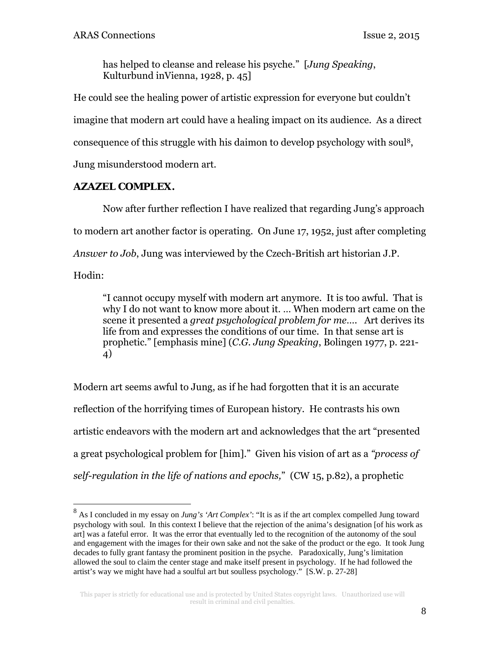has helped to cleanse and release his psyche." [*Jung Speaking*, Kulturbund inVienna, 1928, p. 45]

He could see the healing power of artistic expression for everyone but couldn't imagine that modern art could have a healing impact on its audience. As a direct consequence of this struggle with his daimon to develop psychology with soul8, Jung misunderstood modern art.

# **AZAZEL COMPLEX.**

 Now after further reflection I have realized that regarding Jung's approach to modern art another factor is operating. On June 17, 1952, just after completing *Answer to Job*, Jung was interviewed by the Czech-British art historian J.P.

Hodin:

1

"I cannot occupy myself with modern art anymore. It is too awful. That is why I do not want to know more about it. … When modern art came on the scene it presented a *great psychological problem for me*…. Art derives its life from and expresses the conditions of our time. In that sense art is prophetic." [emphasis mine] (*C.G. Jung Speaking*, Bolingen 1977, p. 221- 4)

Modern art seems awful to Jung, as if he had forgotten that it is an accurate reflection of the horrifying times of European history. He contrasts his own artistic endeavors with the modern art and acknowledges that the art "presented a great psychological problem for [him]." Given his vision of art as a *"process of self-regulation in the life of nations and epochs,*" (CW 15, p.82), a prophetic

<sup>8</sup> As I concluded in my essay on *Jung's 'Art Complex'*: "It is as if the art complex compelled Jung toward psychology with soul. In this context I believe that the rejection of the anima's designation [of his work as art] was a fateful error. It was the error that eventually led to the recognition of the autonomy of the soul and engagement with the images for their own sake and not the sake of the product or the ego. It took Jung decades to fully grant fantasy the prominent position in the psyche. Paradoxically, Jung's limitation allowed the soul to claim the center stage and make itself present in psychology. If he had followed the artist's way we might have had a soulful art but soulless psychology." [S.W. p. 27-28]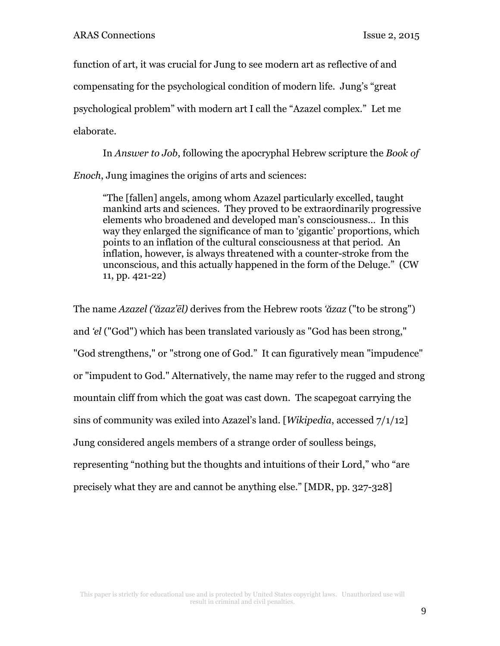function of art, it was crucial for Jung to see modern art as reflective of and compensating for the psychological condition of modern life. Jung's "great psychological problem" with modern art I call the "Azazel complex." Let me elaborate.

 In *Answer to Job*, following the apocryphal Hebrew scripture the *Book of Enoch*, Jung imagines the origins of arts and sciences:

"The [fallen] angels, among whom Azazel particularly excelled, taught mankind arts and sciences. They proved to be extraordinarily progressive elements who broadened and developed man's consciousness… In this way they enlarged the significance of man to 'gigantic' proportions, which points to an inflation of the cultural consciousness at that period. An inflation, however, is always threatened with a counter-stroke from the unconscious, and this actually happened in the form of the Deluge." (CW 11, pp. 421-22)

The name *Azazel ('ăzaz'ēl)* derives from the Hebrew roots *'ăzaz* ("to be strong") and *'el* ("God") which has been translated variously as "God has been strong," "God strengthens," or "strong one of God." It can figuratively mean "impudence" or "impudent to God." Alternatively, the name may refer to the rugged and strong mountain cliff from which the goat was cast down. The scapegoat carrying the sins of community was exiled into Azazel's land. [*Wikipedia*, accessed 7/1/12] Jung considered angels members of a strange order of soulless beings, representing "nothing but the thoughts and intuitions of their Lord," who "are precisely what they are and cannot be anything else." [MDR, pp. 327-328]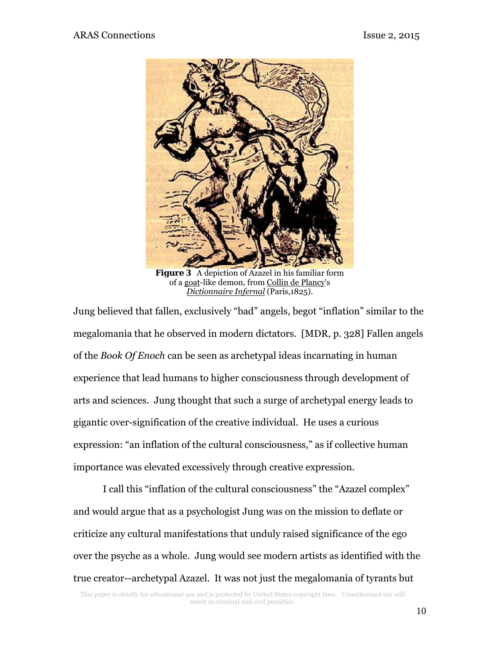

*Figure 3* A depiction of Azazel in his familiar form of a goat-like demon, from Collin de Plancy's *Dictionnaire Infernal* (Paris,1825).

Jung believed that fallen, exclusively "bad" angels, begot "inflation" similar to the megalomania that he observed in modern dictators. [MDR, p. 328] Fallen angels of the *Book Of Enoch* can be seen as archetypal ideas incarnating in human experience that lead humans to higher consciousness through development of arts and sciences. Jung thought that such a surge of archetypal energy leads to gigantic over-signification of the creative individual. He uses a curious expression: "an inflation of the cultural consciousness," as if collective human importance was elevated excessively through creative expression.

 I call this "inflation of the cultural consciousness" the "Azazel complex" and would argue that as a psychologist Jung was on the mission to deflate or criticize any cultural manifestations that unduly raised significance of the ego over the psyche as a whole. Jung would see modern artists as identified with the true creator--archetypal Azazel. It was not just the megalomania of tyrants but

This paper is strictly for educational use and is protected by United States copyright laws. Unauthorized use will result in criminal and civil penalties.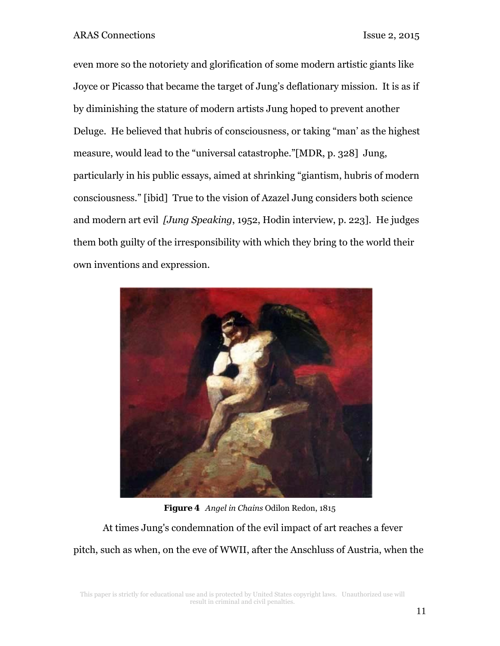even more so the notoriety and glorification of some modern artistic giants like Joyce or Picasso that became the target of Jung's deflationary mission. It is as if by diminishing the stature of modern artists Jung hoped to prevent another Deluge. He believed that hubris of consciousness, or taking "man' as the highest measure, would lead to the "universal catastrophe."[MDR, p. 328] Jung, particularly in his public essays, aimed at shrinking "giantism, hubris of modern consciousness." [ibid] True to the vision of Azazel Jung considers both science and modern art evil *[Jung Speaking*, 1952, Hodin interview, p. 223]. He judges them both guilty of the irresponsibility with which they bring to the world their own inventions and expression.



*Figure 4 Angel in Chains* Odilon Redon, 1815

 At times Jung's condemnation of the evil impact of art reaches a fever pitch, such as when, on the eve of WWII, after the Anschluss of Austria, when the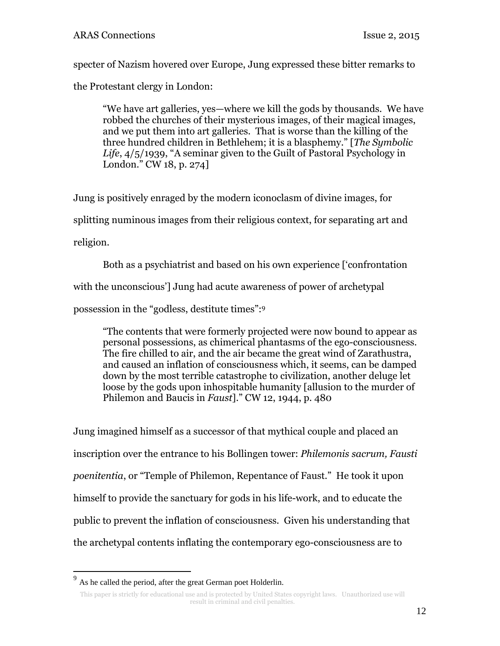specter of Nazism hovered over Europe, Jung expressed these bitter remarks to

the Protestant clergy in London:

"We have art galleries, yes—where we kill the gods by thousands. We have robbed the churches of their mysterious images, of their magical images, and we put them into art galleries. That is worse than the killing of the three hundred children in Bethlehem; it is a blasphemy." [*The Symbolic Life*, 4/5/1939, "A seminar given to the Guilt of Pastoral Psychology in London." CW 18, p. 274]

Jung is positively enraged by the modern iconoclasm of divine images, for splitting numinous images from their religious context, for separating art and religion.

 Both as a psychiatrist and based on his own experience ['confrontation with the unconscious'] Jung had acute awareness of power of archetypal possession in the "godless, destitute times":9

"The contents that were formerly projected were now bound to appear as personal possessions, as chimerical phantasms of the ego-consciousness. The fire chilled to air, and the air became the great wind of Zarathustra, and caused an inflation of consciousness which, it seems, can be damped down by the most terrible catastrophe to civilization, another deluge let loose by the gods upon inhospitable humanity [allusion to the murder of Philemon and Baucis in *Faust*]." CW 12, 1944, p. 480

Jung imagined himself as a successor of that mythical couple and placed an inscription over the entrance to his Bollingen tower: *Philemonis sacrum, Fausti poenitentia*, or "Temple of Philemon, Repentance of Faust." He took it upon himself to provide the sanctuary for gods in his life-work, and to educate the public to prevent the inflation of consciousness. Given his understanding that the archetypal contents inflating the contemporary ego-consciousness are to

 $\overline{a}$ 

 $9<sup>9</sup>$  As he called the period, after the great German poet Holderlin.

This paper is strictly for educational use and is protected by United States copyright laws. Unauthorized use will result in criminal and civil penalties.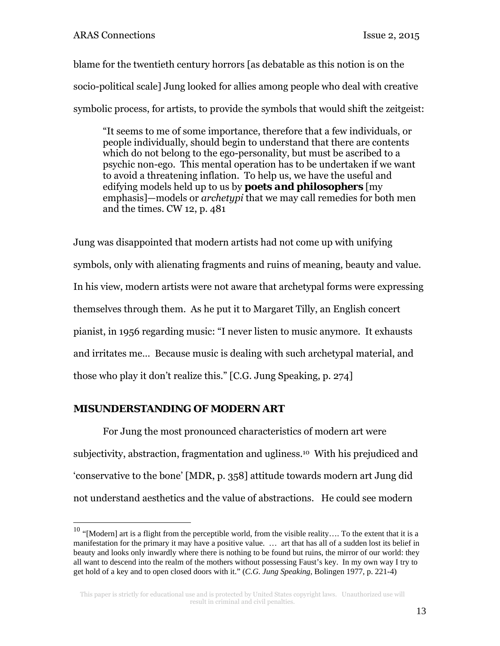blame for the twentieth century horrors [as debatable as this notion is on the socio-political scale] Jung looked for allies among people who deal with creative symbolic process, for artists, to provide the symbols that would shift the zeitgeist:

"It seems to me of some importance, therefore that a few individuals, or people individually, should begin to understand that there are contents which do not belong to the ego-personality, but must be ascribed to a psychic non-ego. This mental operation has to be undertaken if we want to avoid a threatening inflation. To help us, we have the useful and edifying models held up to us by *poets and philosophers* [my emphasis]—models or *archetypi* that we may call remedies for both men and the times. CW 12, p. 481

Jung was disappointed that modern artists had not come up with unifying symbols, only with alienating fragments and ruins of meaning, beauty and value. In his view, modern artists were not aware that archetypal forms were expressing themselves through them. As he put it to Margaret Tilly, an English concert pianist, in 1956 regarding music: "I never listen to music anymore. It exhausts and irritates me… Because music is dealing with such archetypal material, and those who play it don't realize this." [C.G. Jung Speaking, p. 274]

# **MISUNDERSTANDING OF MODERN ART**

 $\overline{a}$ 

For Jung the most pronounced characteristics of modern art were subjectivity, abstraction, fragmentation and ugliness.10 With his prejudiced and 'conservative to the bone' [MDR, p. 358] attitude towards modern art Jung did not understand aesthetics and the value of abstractions. He could see modern

<sup>&</sup>lt;sup>10</sup> "[Modern] art is a flight from the perceptible world, from the visible reality.... To the extent that it is a manifestation for the primary it may have a positive value. … art that has all of a sudden lost its belief in beauty and looks only inwardly where there is nothing to be found but ruins, the mirror of our world: they all want to descend into the realm of the mothers without possessing Faust's key. In my own way I try to get hold of a key and to open closed doors with it." (*C.G. Jung Speaking*, Bolingen 1977, p. 221-4)

This paper is strictly for educational use and is protected by United States copyright laws. Unauthorized use will result in criminal and civil penalties.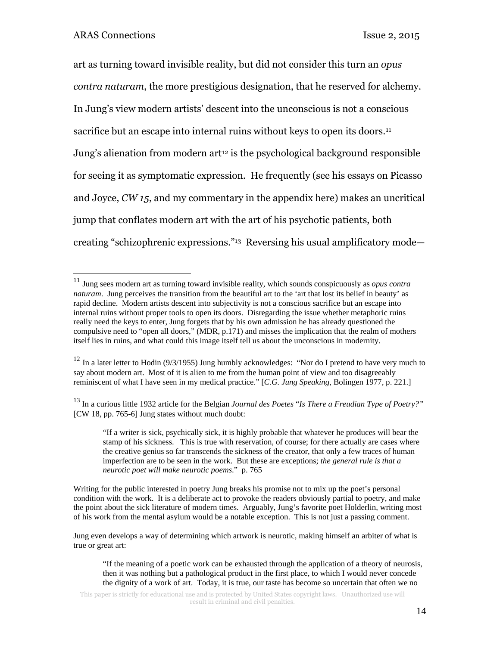<u>.</u>

art as turning toward invisible reality, but did not consider this turn an *opus contra naturam*, the more prestigious designation, that he reserved for alchemy. In Jung's view modern artists' descent into the unconscious is not a conscious sacrifice but an escape into internal ruins without keys to open its doors.<sup>11</sup> Jung's alienation from modern art<sup>12</sup> is the psychological background responsible for seeing it as symptomatic expression. He frequently (see his essays on Picasso and Joyce, *CW 15*, and my commentary in the appendix here) makes an uncritical jump that conflates modern art with the art of his psychotic patients, both creating "schizophrenic expressions."13 Reversing his usual amplificatory mode—

13 In a curious little 1932 article for the Belgian *Journal des Poetes* "*Is There a Freudian Type of Poetry?"* [CW 18, pp. 765-6] Jung states without much doubt:

Jung even develops a way of determining which artwork is neurotic, making himself an arbiter of what is true or great art:

<sup>11</sup> Jung sees modern art as turning toward invisible reality, which sounds conspicuously as *opus contra naturam*. Jung perceives the transition from the beautiful art to the 'art that lost its belief in beauty' as rapid decline. Modern artists descent into subjectivity is not a conscious sacrifice but an escape into internal ruins without proper tools to open its doors. Disregarding the issue whether metaphoric ruins really need the keys to enter, Jung forgets that by his own admission he has already questioned the compulsive need to "open all doors," (MDR, p.171) and misses the implication that the realm of mothers itself lies in ruins, and what could this image itself tell us about the unconscious in modernity.

<sup>&</sup>lt;sup>12</sup> In a later letter to Hodin (9/3/1955) Jung humbly acknowledges: "Nor do I pretend to have very much to say about modern art. Most of it is alien to me from the human point of view and too disagreeably reminiscent of what I have seen in my medical practice." [*C.G. Jung Speaking*, Bolingen 1977, p. 221.]

<sup>&</sup>quot;If a writer is sick, psychically sick, it is highly probable that whatever he produces will bear the stamp of his sickness. This is true with reservation, of course; for there actually are cases where the creative genius so far transcends the sickness of the creator, that only a few traces of human imperfection are to be seen in the work. But these are exceptions; *the general rule is that a neurotic poet will make neurotic poems*." p. 765

Writing for the public interested in poetry Jung breaks his promise not to mix up the poet's personal condition with the work. It is a deliberate act to provoke the readers obviously partial to poetry, and make the point about the sick literature of modern times. Arguably, Jung's favorite poet Holderlin, writing most of his work from the mental asylum would be a notable exception. This is not just a passing comment.

<sup>&</sup>quot;If the meaning of a poetic work can be exhausted through the application of a theory of neurosis, then it was nothing but a pathological product in the first place, to which I would never concede the dignity of a work of art. Today, it is true, our taste has become so uncertain that often we no

This paper is strictly for educational use and is protected by United States copyright laws. Unauthorized use will result in criminal and civil penalties.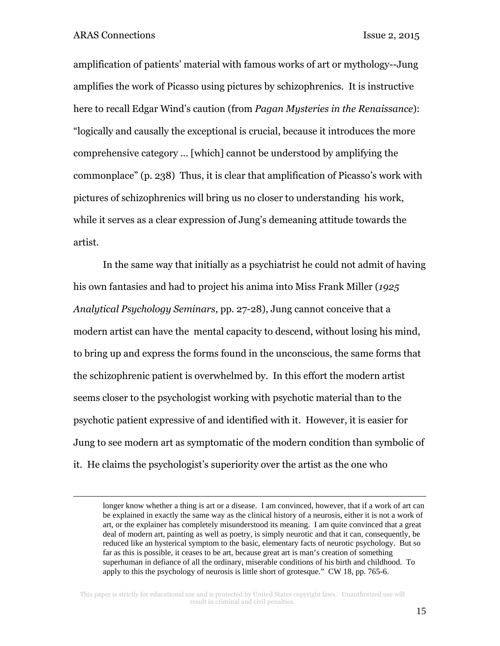amplification of patients' material with famous works of art or mythology--Jung amplifies the work of Picasso using pictures by schizophrenics. It is instructive here to recall Edgar Wind's caution (from *Pagan Mysteries in the Renaissance*): "logically and causally the exceptional is crucial, because it introduces the more comprehensive category … [which] cannot be understood by amplifying the commonplace" (p. 238) Thus, it is clear that amplification of Picasso's work with pictures of schizophrenics will bring us no closer to understanding his work, while it serves as a clear expression of Jung's demeaning attitude towards the artist.

In the same way that initially as a psychiatrist he could not admit of having his own fantasies and had to project his anima into Miss Frank Miller (*1925 Analytical Psychology Seminars*, pp. 27-28), Jung cannot conceive that a modern artist can have the mental capacity to descend, without losing his mind, to bring up and express the forms found in the unconscious, the same forms that the schizophrenic patient is overwhelmed by. In this effort the modern artist seems closer to the psychologist working with psychotic material than to the psychotic patient expressive of and identified with it. However, it is easier for Jung to see modern art as symptomatic of the modern condition than symbolic of it. He claims the psychologist's superiority over the artist as the one who

longer know whether a thing is art or a disease. I am convinced, however, that if a work of art can be explained in exactly the same way as the clinical history of a neurosis, either it is not a work of art, or the explainer has completely misunderstood its meaning. I am quite convinced that a great deal of modern art, painting as well as poetry, is simply neurotic and that it can, consequently, be reduced like an hysterical symptom to the basic, elementary facts of neurotic psychology. But so far as this is possible, it ceases to be art, because great art is man's creation of something superhuman in defiance of all the ordinary, miserable conditions of his birth and childhood. To apply to this the psychology of neurosis is little short of grotesque." CW 18, pp. 765-6.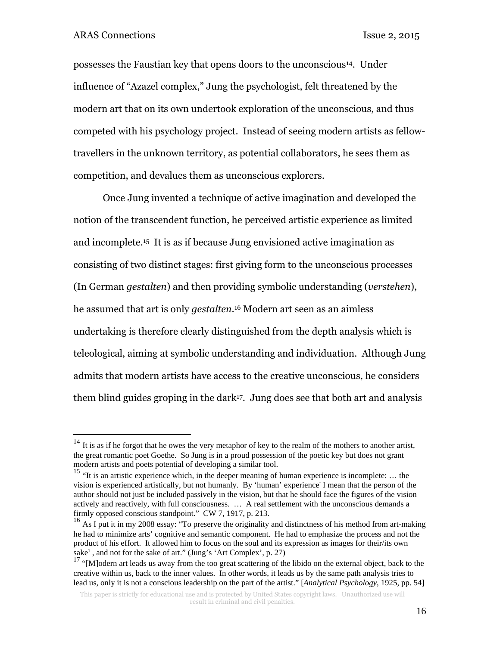possesses the Faustian key that opens doors to the unconscious14. Under influence of "Azazel complex," Jung the psychologist, felt threatened by the modern art that on its own undertook exploration of the unconscious, and thus competed with his psychology project. Instead of seeing modern artists as fellowtravellers in the unknown territory, as potential collaborators, he sees them as competition, and devalues them as unconscious explorers.

Once Jung invented a technique of active imagination and developed the notion of the transcendent function, he perceived artistic experience as limited and incomplete.15 It is as if because Jung envisioned active imagination as consisting of two distinct stages: first giving form to the unconscious processes (In German *gestalten*) and then providing symbolic understanding (*verstehen*), he assumed that art is only *gestalten*.16 Modern art seen as an aimless undertaking is therefore clearly distinguished from the depth analysis which is teleological, aiming at symbolic understanding and individuation. Although Jung admits that modern artists have access to the creative unconscious, he considers them blind guides groping in the dark17. Jung does see that both art and analysis

 $14$  It is as if he forgot that he owes the very metaphor of key to the realm of the mothers to another artist, the great romantic poet Goethe. So Jung is in a proud possession of the poetic key but does not grant

<sup>&</sup>lt;sup>15</sup> "It is an artistic experience which, in the deeper meaning of human experience is incomplete: ... the vision is experienced artistically, but not humanly. By 'human' experience' I mean that the person of the author should not just be included passively in the vision, but that he should face the figures of the vision actively and reactively, with full consciousness. … A real settlement with the unconscious demands a firmly opposed conscious standpoint." CW 7, 1917, p. 213.<br><sup>16</sup> As I put it in my 2008 essay: "To preserve the originality and distinctness of his method from art-making

he had to minimize arts' cognitive and semantic component. He had to emphasize the process and not the product of his effort. It allowed him to focus on the soul and its expression as images for their/its own sake<sup>1</sup>, and not for the sake of art." (Jung's 'Art Complex', p. 27)

<sup>&</sup>lt;sup>17</sup> "[M]odern art leads us away from the too great scattering of the libido on the external object, back to the creative within us, back to the inner values. In other words, it leads us by the same path analysis tries to lead us, only it is not a conscious leadership on the part of the artist." [*Analytical Psychology*, 1925, pp. 54]

This paper is strictly for educational use and is protected by United States copyright laws. Unauthorized use will result in criminal and civil penalties.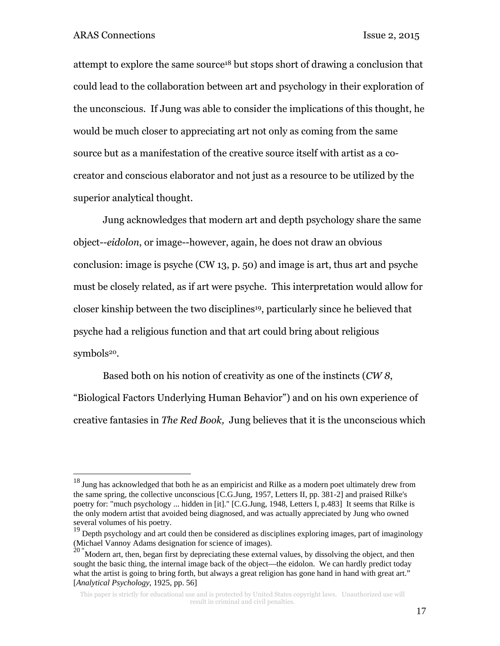<u>.</u>

attempt to explore the same source18 but stops short of drawing a conclusion that could lead to the collaboration between art and psychology in their exploration of the unconscious. If Jung was able to consider the implications of this thought, he would be much closer to appreciating art not only as coming from the same source but as a manifestation of the creative source itself with artist as a cocreator and conscious elaborator and not just as a resource to be utilized by the superior analytical thought.

Jung acknowledges that modern art and depth psychology share the same object--*eidolon*, or image--however, again, he does not draw an obvious conclusion: image is psyche (CW 13, p. 50) and image is art, thus art and psyche must be closely related, as if art were psyche. This interpretation would allow for closer kinship between the two disciplines<sup>19</sup>, particularly since he believed that psyche had a religious function and that art could bring about religious symbols<sup>20</sup>.

 Based both on his notion of creativity as one of the instincts (*CW 8*, "Biological Factors Underlying Human Behavior") and on his own experience of creative fantasies in *The Red Book,* Jung believes that it is the unconscious which

 $18$  Jung has acknowledged that both he as an empiricist and Rilke as a modern poet ultimately drew from the same spring, the collective unconscious [C.G.Jung, 1957, Letters II, pp. 381-2] and praised Rilke's poetry for: "much psychology ... hidden in [it]." [C.G.Jung, 1948, Letters I, p.483] It seems that Rilke is the only modern artist that avoided being diagnosed, and was actually appreciated by Jung who owned several volumes of his poetry.

<sup>&</sup>lt;sup>19</sup> Depth psychology and art could then be considered as disciplines exploring images, part of imaginology (Michael Vannoy Adams designation for science of images).

 $20$  "Modern art, then, began first by depreciating these external values, by dissolving the object, and then sought the basic thing, the internal image back of the object—the eidolon. We can hardly predict today what the artist is going to bring forth, but always a great religion has gone hand in hand with great art." [*Analytical Psychology*, 1925, pp. 56]

This paper is strictly for educational use and is protected by United States copyright laws. Unauthorized use will result in criminal and civil penalties.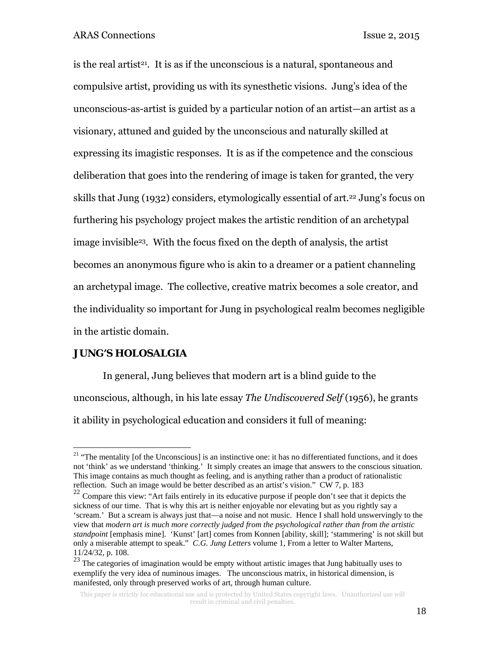is the real artist<sup>21</sup>. It is as if the unconscious is a natural, spontaneous and compulsive artist, providing us with its synesthetic visions. Jung's idea of the unconscious-as-artist is guided by a particular notion of an artist—an artist as a visionary, attuned and guided by the unconscious and naturally skilled at expressing its imagistic responses. It is as if the competence and the conscious deliberation that goes into the rendering of image is taken for granted, the very skills that Jung (1932) considers, etymologically essential of art.22 Jung's focus on furthering his psychology project makes the artistic rendition of an archetypal image invisible23. With the focus fixed on the depth of analysis, the artist becomes an anonymous figure who is akin to a dreamer or a patient channeling an archetypal image. The collective, creative matrix becomes a sole creator, and the individuality so important for Jung in psychological realm becomes negligible in the artistic domain.

#### **JUNG'S HOLOSALGIA**

 $\overline{a}$ 

 In general, Jung believes that modern art is a blind guide to the unconscious, although, in his late essay *The Undiscovered Self* (1956), he grants it ability in psychological education and considers it full of meaning:

<sup>&</sup>lt;sup>21</sup> "The mentality [of the Unconscious] is an instinctive one: it has no differentiated functions, and it does not 'think' as we understand 'thinking.' It simply creates an image that answers to the conscious situation. This image contains as much thought as feeling, and is anything rather than a product of rationalistic reflection. Such an image would be better described as an artist's vision." CW 7, p. 183

 $22$  Compare this view: "Art fails entirely in its educative purpose if people don't see that it depicts the sickness of our time. That is why this art is neither enjoyable nor elevating but as you rightly say a 'scream.' But a scream is always just that—a noise and not music. Hence I shall hold unswervingly to the view that *modern art is much more correctly judged from the psychological rather than from the artistic standpoint* [emphasis mine]. 'Kunst' [art] comes from Konnen [ability, skill]; 'stammering' is not skill but only a miserable attempt to speak." *C.G. Jung Letters* volume 1, From a letter to Walter Martens, 11/24/32, p. 108.

 $23$  The categories of imagination would be empty without artistic images that Jung habitually uses to exemplify the very idea of numinous images. The unconscious matrix, in historical dimension, is manifested, only through preserved works of art, through human culture.

This paper is strictly for educational use and is protected by United States copyright laws. Unauthorized use will result in criminal and civil penalties.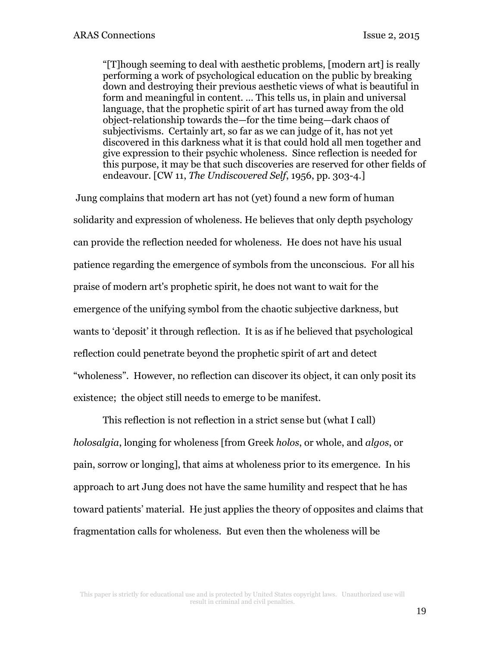"[T]hough seeming to deal with aesthetic problems, [modern art] is really performing a work of psychological education on the public by breaking down and destroying their previous aesthetic views of what is beautiful in form and meaningful in content. … This tells us, in plain and universal language, that the prophetic spirit of art has turned away from the old object-relationship towards the—for the time being—dark chaos of subjectivisms. Certainly art, so far as we can judge of it, has not yet discovered in this darkness what it is that could hold all men together and give expression to their psychic wholeness. Since reflection is needed for this purpose, it may be that such discoveries are reserved for other fields of endeavour. [CW 11, *The Undiscovered Self*, 1956, pp. 303-4.]

 Jung complains that modern art has not (yet) found a new form of human solidarity and expression of wholeness. He believes that only depth psychology can provide the reflection needed for wholeness. He does not have his usual patience regarding the emergence of symbols from the unconscious. For all his praise of modern art's prophetic spirit, he does not want to wait for the emergence of the unifying symbol from the chaotic subjective darkness, but wants to 'deposit' it through reflection. It is as if he believed that psychological reflection could penetrate beyond the prophetic spirit of art and detect "wholeness". However, no reflection can discover its object, it can only posit its existence; the object still needs to emerge to be manifest.

This reflection is not reflection in a strict sense but (what I call) *holosalgia*, longing for wholeness [from Greek *holos*, or whole, and *algos*, or pain, sorrow or longing], that aims at wholeness prior to its emergence. In his approach to art Jung does not have the same humility and respect that he has toward patients' material. He just applies the theory of opposites and claims that fragmentation calls for wholeness. But even then the wholeness will be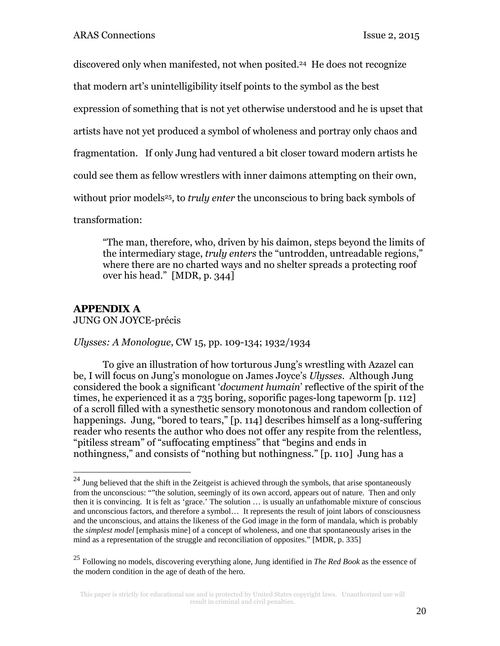discovered only when manifested, not when posited.24 He does not recognize

that modern art's unintelligibility itself points to the symbol as the best

expression of something that is not yet otherwise understood and he is upset that

artists have not yet produced a symbol of wholeness and portray only chaos and

fragmentation. If only Jung had ventured a bit closer toward modern artists he

could see them as fellow wrestlers with inner daimons attempting on their own,

without prior models<sup>25</sup>, to *truly enter* the unconscious to bring back symbols of

transformation:

"The man, therefore, who, driven by his daimon, steps beyond the limits of the intermediary stage, *truly enters* the "untrodden, untreadable regions," where there are no charted ways and no shelter spreads a protecting roof over his head." [MDR, p. 344]

## **APPENDIX A**

 $\overline{a}$ 

JUNG ON JOYCE-précis

*Ulysses: A Monologue*, CW 15, pp. 109-134; 1932/1934

To give an illustration of how torturous Jung's wrestling with Azazel can be, I will focus on Jung's monologue on James Joyce's *Ulysses*. Although Jung considered the book a significant '*document humain*' reflective of the spirit of the times, he experienced it as a 735 boring, soporific pages-long tapeworm [p. 112] of a scroll filled with a synesthetic sensory monotonous and random collection of happenings. Jung, "bored to tears," [p. 114] describes himself as a long-suffering reader who resents the author who does not offer any respite from the relentless, "pitiless stream" of "suffocating emptiness" that "begins and ends in nothingness," and consists of "nothing but nothingness." [p. 110] Jung has a

 $^{24}$  Jung believed that the shift in the Zeitgeist is achieved through the symbols, that arise spontaneously from the unconscious: ""the solution, seemingly of its own accord, appears out of nature. Then and only then it is convincing. It is felt as 'grace.' The solution … is usually an unfathomable mixture of conscious and unconscious factors, and therefore a symbol… It represents the result of joint labors of consciousness and the unconscious, and attains the likeness of the God image in the form of mandala, which is probably the *simplest model* [emphasis mine] of a concept of wholeness, and one that spontaneously arises in the mind as a representation of the struggle and reconciliation of opposites." [MDR, p. 335]

<sup>25</sup> Following no models, discovering everything alone, Jung identified in *The Red Book* as the essence of the modern condition in the age of death of the hero.

This paper is strictly for educational use and is protected by United States copyright laws. Unauthorized use will result in criminal and civil penalties.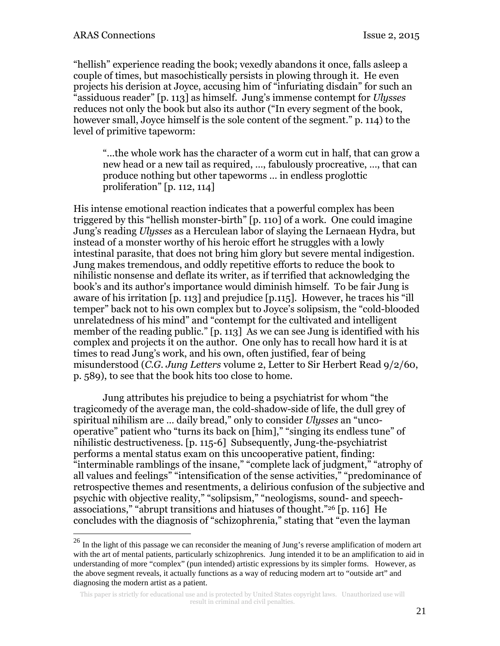1

"hellish" experience reading the book; vexedly abandons it once, falls asleep a couple of times, but masochistically persists in plowing through it. He even projects his derision at Joyce, accusing him of "infuriating disdain" for such an "assiduous reader" [p. 113] as himself. Jung's immense contempt for *Ulysses* reduces not only the book but also its author ("In every segment of the book, however small, Joyce himself is the sole content of the segment." p. 114) to the level of primitive tapeworm:

"...the whole work has the character of a worm cut in half, that can grow a new head or a new tail as required, …, fabulously procreative, …, that can produce nothing but other tapeworms … in endless proglottic proliferation" [p. 112, 114]

His intense emotional reaction indicates that a powerful complex has been triggered by this "hellish monster-birth" [p. 110] of a work. One could imagine Jung's reading *Ulysses* as a Herculean labor of slaying the Lernaean Hydra, but instead of a monster worthy of his heroic effort he struggles with a lowly intestinal parasite, that does not bring him glory but severe mental indigestion. Jung makes tremendous, and oddly repetitive efforts to reduce the book to nihilistic nonsense and deflate its writer, as if terrified that acknowledging the book's and its author's importance would diminish himself. To be fair Jung is aware of his irritation [p. 113] and prejudice [p.115]. However, he traces his "ill temper" back not to his own complex but to Joyce's solipsism, the "cold-blooded unrelatedness of his mind" and "contempt for the cultivated and intelligent member of the reading public." [p. 113] As we can see Jung is identified with his complex and projects it on the author. One only has to recall how hard it is at times to read Jung's work, and his own, often justified, fear of being misunderstood (*C.G. Jung Letters* volume 2, Letter to Sir Herbert Read 9/2/60, p. 589), to see that the book hits too close to home.

Jung attributes his prejudice to being a psychiatrist for whom "the tragicomedy of the average man, the cold-shadow-side of life, the dull grey of spiritual nihilism are … daily bread," only to consider *Ulysses* an "uncooperative" patient who "turns its back on [him]," "singing its endless tune" of nihilistic destructiveness. [p. 115-6] Subsequently, Jung-the-psychiatrist performs a mental status exam on this uncooperative patient, finding: "interminable ramblings of the insane," "complete lack of judgment," "atrophy of all values and feelings" "intensification of the sense activities," "predominance of retrospective themes and resentments, a delirious confusion of the subjective and psychic with objective reality," "solipsism," "neologisms, sound- and speechassociations," "abrupt transitions and hiatuses of thought."26 [p. 116] He concludes with the diagnosis of "schizophrenia," stating that "even the layman

 $^{26}$  In the light of this passage we can reconsider the meaning of Jung's reverse amplification of modern art with the art of mental patients, particularly schizophrenics. Jung intended it to be an amplification to aid in understanding of more "complex" (pun intended) artistic expressions by its simpler forms. However, as the above segment reveals, it actually functions as a way of reducing modern art to "outside art" and diagnosing the modern artist as a patient.

This paper is strictly for educational use and is protected by United States copyright laws. Unauthorized use will result in criminal and civil penalties.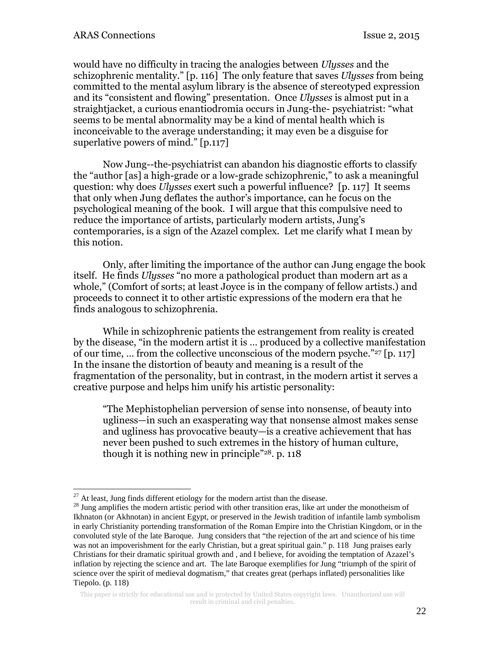would have no difficulty in tracing the analogies between *Ulysses* and the schizophrenic mentality." [p. 116] The only feature that saves *Ulysses* from being committed to the mental asylum library is the absence of stereotyped expression and its "consistent and flowing" presentation. Once *Ulysses* is almost put in a straightjacket, a curious enantiodromia occurs in Jung-the- psychiatrist: "what seems to be mental abnormality may be a kind of mental health which is inconceivable to the average understanding; it may even be a disguise for superlative powers of mind." [p.117]

Now Jung--the-psychiatrist can abandon his diagnostic efforts to classify the "author [as] a high-grade or a low-grade schizophrenic," to ask a meaningful question: why does *Ulysses* exert such a powerful influence? [p. 117] It seems that only when Jung deflates the author's importance, can he focus on the psychological meaning of the book. I will argue that this compulsive need to reduce the importance of artists, particularly modern artists, Jung's contemporaries, is a sign of the Azazel complex. Let me clarify what I mean by this notion.

Only, after limiting the importance of the author can Jung engage the book itself. He finds *Ulysses* "no more a pathological product than modern art as a whole," (Comfort of sorts; at least Joyce is in the company of fellow artists.) and proceeds to connect it to other artistic expressions of the modern era that he finds analogous to schizophrenia.

While in schizophrenic patients the estrangement from reality is created by the disease, "in the modern artist it is … produced by a collective manifestation of our time, … from the collective unconscious of the modern psyche."27 [p. 117] In the insane the distortion of beauty and meaning is a result of the fragmentation of the personality, but in contrast, in the modern artist it serves a creative purpose and helps him unify his artistic personality:

"The Mephistophelian perversion of sense into nonsense, of beauty into ugliness—in such an exasperating way that nonsense almost makes sense and ugliness has provocative beauty—is a creative achievement that has never been pushed to such extremes in the history of human culture, though it is nothing new in principle"28. p. 118

<sup>1</sup> 

<sup>&</sup>lt;sup>27</sup> At least, Jung finds different etiology for the modern artist than the disease.<br><sup>28</sup> Jung amplifies the modern artistic period with other transition eras, like art under the monotheism of Ikhnaton (or Akhnotan) in ancient Egypt, or preserved in the Jewish tradition of infantile lamb symbolism in early Christianity portending transformation of the Roman Empire into the Christian Kingdom, or in the convoluted style of the late Baroque. Jung considers that "the rejection of the art and science of his time was not an impoverishment for the early Christian, but a great spiritual gain." p. 118 Jung praises early Christians for their dramatic spiritual growth and , and I believe, for avoiding the temptation of Azazel's inflation by rejecting the science and art. The late Baroque exemplifies for Jung "triumph of the spirit of science over the spirit of medieval dogmatism," that creates great (perhaps inflated) personalities like Tiepolo. (p. 118)

This paper is strictly for educational use and is protected by United States copyright laws. Unauthorized use will result in criminal and civil penalties.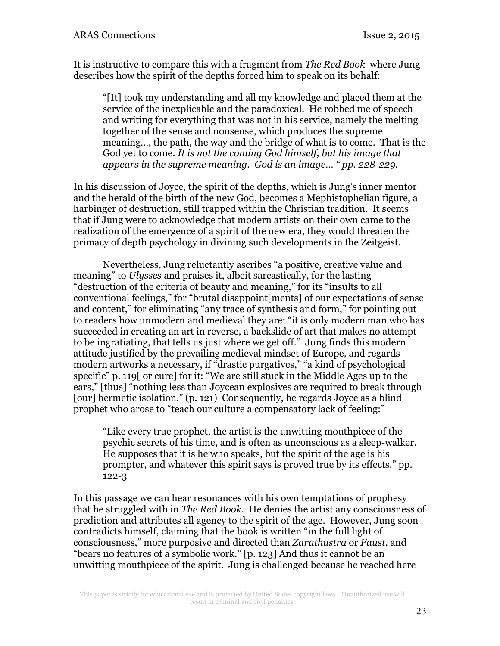It is instructive to compare this with a fragment from *The Red Book* where Jung describes how the spirit of the depths forced him to speak on its behalf:

"[It] took my understanding and all my knowledge and placed them at the service of the inexplicable and the paradoxical. He robbed me of speech and writing for everything that was not in his service, namely the melting together of the sense and nonsense, which produces the supreme meaning…, the path, the way and the bridge of what is to come. That is the God yet to come. *It is not the coming God himself, but his image that appears in the supreme meaning. God is an image… " pp. 228-229.*

In his discussion of Joyce, the spirit of the depths, which is Jung's inner mentor and the herald of the birth of the new God, becomes a Mephistophelian figure, a harbinger of destruction, still trapped within the Christian tradition. It seems that if Jung were to acknowledge that modern artists on their own came to the realization of the emergence of a spirit of the new era, they would threaten the primacy of depth psychology in divining such developments in the Zeitgeist.

Nevertheless, Jung reluctantly ascribes "a positive, creative value and meaning" to *Ulysses* and praises it, albeit sarcastically, for the lasting "destruction of the criteria of beauty and meaning," for its "insults to all conventional feelings," for "brutal disappoint[ments] of our expectations of sense and content," for eliminating "any trace of synthesis and form," for pointing out to readers how unmodern and medieval they are: "it is only modern man who has succeeded in creating an art in reverse, a backslide of art that makes no attempt to be ingratiating, that tells us just where we get off." Jung finds this modern attitude justified by the prevailing medieval mindset of Europe, and regards modern artworks a necessary, if "drastic purgatives," "a kind of psychological specific" p. 119[ or cure] for it: "We are still stuck in the Middle Ages up to the ears," [thus] "nothing less than Joycean explosives are required to break through [our] hermetic isolation." (p. 121) Consequently, he regards Joyce as a blind prophet who arose to "teach our culture a compensatory lack of feeling:"

"Like every true prophet, the artist is the unwitting mouthpiece of the psychic secrets of his time, and is often as unconscious as a sleep-walker. He supposes that it is he who speaks, but the spirit of the age is his prompter, and whatever this spirit says is proved true by its effects." pp. 122-3

In this passage we can hear resonances with his own temptations of prophesy that he struggled with in *The Red Book*. He denies the artist any consciousness of prediction and attributes all agency to the spirit of the age. However, Jung soon contradicts himself, claiming that the book is written "in the full light of consciousness," more purposive and directed than *Zarathustra* or *Faust*, and "bears no features of a symbolic work." [p. 123] And thus it cannot be an unwitting mouthpiece of the spirit. Jung is challenged because he reached here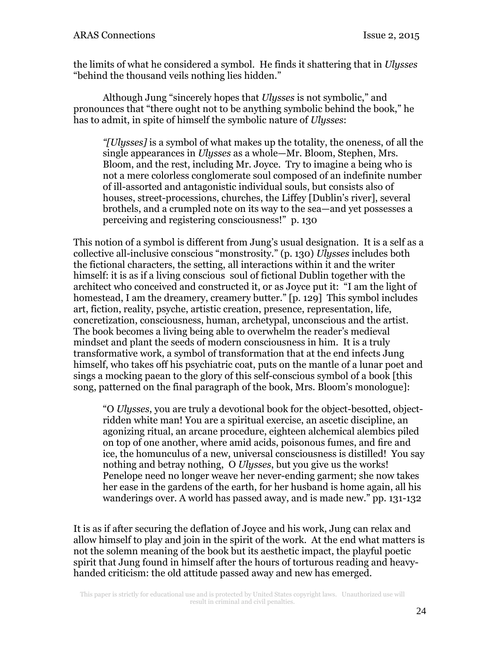the limits of what he considered a symbol. He finds it shattering that in *Ulysses* "behind the thousand veils nothing lies hidden."

Although Jung "sincerely hopes that *Ulysses* is not symbolic," and pronounces that "there ought not to be anything symbolic behind the book," he has to admit, in spite of himself the symbolic nature of *Ulysses*:

*"[Ulysses]* is a symbol of what makes up the totality, the oneness, of all the single appearances in *Ulysses* as a whole—Mr. Bloom, Stephen, Mrs. Bloom, and the rest, including Mr. Joyce. Try to imagine a being who is not a mere colorless conglomerate soul composed of an indefinite number of ill-assorted and antagonistic individual souls, but consists also of houses, street-processions, churches, the Liffey [Dublin's river], several brothels, and a crumpled note on its way to the sea—and yet possesses a perceiving and registering consciousness!" p. 130

This notion of a symbol is different from Jung's usual designation. It is a self as a collective all-inclusive conscious "monstrosity." (p. 130) *Ulysses* includes both the fictional characters, the setting, all interactions within it and the writer himself: it is as if a living conscious soul of fictional Dublin together with the architect who conceived and constructed it, or as Joyce put it: "I am the light of homestead, I am the dreamery, creamery butter." [p. 129] This symbol includes art, fiction, reality, psyche, artistic creation, presence, representation, life, concretization, consciousness, human, archetypal, unconscious and the artist. The book becomes a living being able to overwhelm the reader's medieval mindset and plant the seeds of modern consciousness in him. It is a truly transformative work, a symbol of transformation that at the end infects Jung himself, who takes off his psychiatric coat, puts on the mantle of a lunar poet and sings a mocking paean to the glory of this self-conscious symbol of a book [this song, patterned on the final paragraph of the book, Mrs. Bloom's monologue]:

"O *Ulysses*, you are truly a devotional book for the object-besotted, objectridden white man! You are a spiritual exercise, an ascetic discipline, an agonizing ritual, an arcane procedure, eighteen alchemical alembics piled on top of one another, where amid acids, poisonous fumes, and fire and ice, the homunculus of a new, universal consciousness is distilled! You say nothing and betray nothing, O *Ulysses*, but you give us the works! Penelope need no longer weave her never-ending garment; she now takes her ease in the gardens of the earth, for her husband is home again, all his wanderings over. A world has passed away, and is made new." pp. 131-132

It is as if after securing the deflation of Joyce and his work, Jung can relax and allow himself to play and join in the spirit of the work. At the end what matters is not the solemn meaning of the book but its aesthetic impact, the playful poetic spirit that Jung found in himself after the hours of torturous reading and heavyhanded criticism: the old attitude passed away and new has emerged.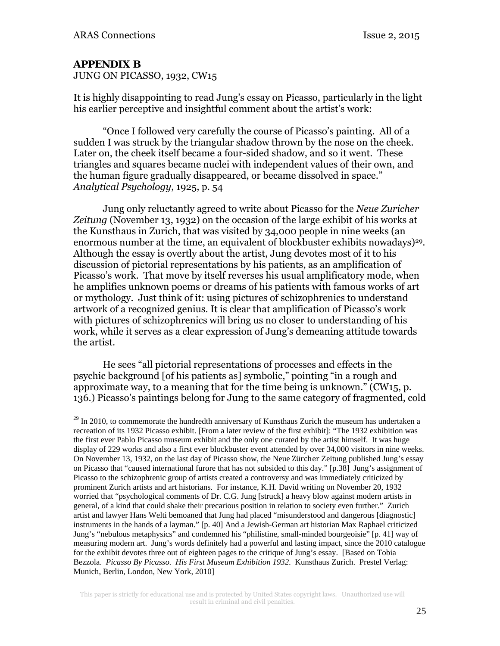### **APPENDIX B**

<u>.</u>

JUNG ON PICASSO, 1932, CW15

It is highly disappointing to read Jung's essay on Picasso, particularly in the light his earlier perceptive and insightful comment about the artist's work:

 "Once I followed very carefully the course of Picasso's painting. All of a sudden I was struck by the triangular shadow thrown by the nose on the cheek. Later on, the cheek itself became a four-sided shadow, and so it went. These triangles and squares became nuclei with independent values of their own, and the human figure gradually disappeared, or became dissolved in space." *Analytical Psychology*, 1925, p. 54

 Jung only reluctantly agreed to write about Picasso for the *Neue Zuricher Zeitung* (November 13, 1932) on the occasion of the large exhibit of his works at the Kunsthaus in Zurich, that was visited by 34,000 people in nine weeks (an enormous number at the time, an equivalent of blockbuster exhibits nowadays)<sup>29</sup>. Although the essay is overtly about the artist, Jung devotes most of it to his discussion of pictorial representations by his patients, as an amplification of Picasso's work. That move by itself reverses his usual amplificatory mode, when he amplifies unknown poems or dreams of his patients with famous works of art or mythology. Just think of it: using pictures of schizophrenics to understand artwork of a recognized genius. It is clear that amplification of Picasso's work with pictures of schizophrenics will bring us no closer to understanding of his work, while it serves as a clear expression of Jung's demeaning attitude towards the artist.

He sees "all pictorial representations of processes and effects in the psychic background [of his patients as] symbolic," pointing "in a rough and approximate way, to a meaning that for the time being is unknown."  $\overline{(CW15, p)}$ . 136.) Picasso's paintings belong for Jung to the same category of fragmented, cold

 $^{29}$  In 2010, to commemorate the hundredth anniversary of Kunsthaus Zurich the museum has undertaken a recreation of its 1932 Picasso exhibit. [From a later review of the first exhibit]: "The 1932 exhibition was the first ever Pablo Picasso museum exhibit and the only one curated by the artist himself. It was huge display of 229 works and also a first ever blockbuster event attended by over 34,000 visitors in nine weeks. On November 13, 1932, on the last day of Picasso show, the Neue Zürcher Zeitung published Jung's essay on Picasso that "caused international furore that has not subsided to this day." [p.38] Jung's assignment of Picasso to the schizophrenic group of artists created a controversy and was immediately criticized by prominent Zurich artists and art historians. For instance, K.H. David writing on November 20, 1932 worried that "psychological comments of Dr. C.G. Jung [struck] a heavy blow against modern artists in general, of a kind that could shake their precarious position in relation to society even further." Zurich artist and lawyer Hans Welti bemoaned that Jung had placed "misunderstood and dangerous [diagnostic] instruments in the hands of a layman." [p. 40] And a Jewish-German art historian Max Raphael criticized Jung's "nebulous metaphysics" and condemned his "philistine, small-minded bourgeoisie" [p. 41] way of measuring modern art. Jung's words definitely had a powerful and lasting impact, since the 2010 catalogue for the exhibit devotes three out of eighteen pages to the critique of Jung's essay. [Based on Tobia Bezzola. *Picasso By Picasso. His First Museum Exhibition 1932*. Kunsthaus Zurich. Prestel Verlag: Munich, Berlin, London, New York, 2010]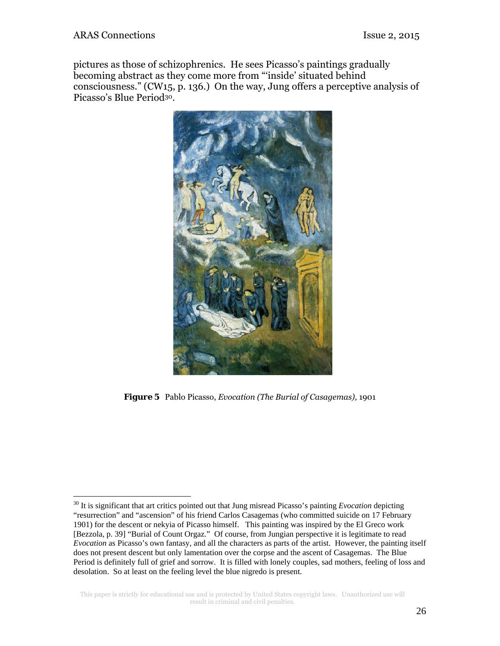pictures as those of schizophrenics. He sees Picasso's paintings gradually becoming abstract as they come more from "'inside' situated behind consciousness." (CW15, p. 136.) On the way, Jung offers a perceptive analysis of Picasso's Blue Period30.



*Figure 5* Pablo Picasso, *Evocation (The Burial of Casagemas),* 1901

<sup>30</sup> It is significant that art critics pointed out that Jung misread Picasso's painting *Evocation* depicting "resurrection" and "ascension" of his friend Carlos Casagemas (who committed suicide on 17 February 1901) for the descent or nekyia of Picasso himself. This painting was inspired by the El Greco work [Bezzola, p. 39] "Burial of Count Orgaz." Of course, from Jungian perspective it is legitimate to read *Evocation* as Picasso's own fantasy, and all the characters as parts of the artist. However, the painting itself does not present descent but only lamentation over the corpse and the ascent of Casagemas. The Blue Period is definitely full of grief and sorrow. It is filled with lonely couples, sad mothers, feeling of loss and desolation. So at least on the feeling level the blue nigredo is present.

This paper is strictly for educational use and is protected by United States copyright laws. Unauthorized use will result in criminal and civil penalties.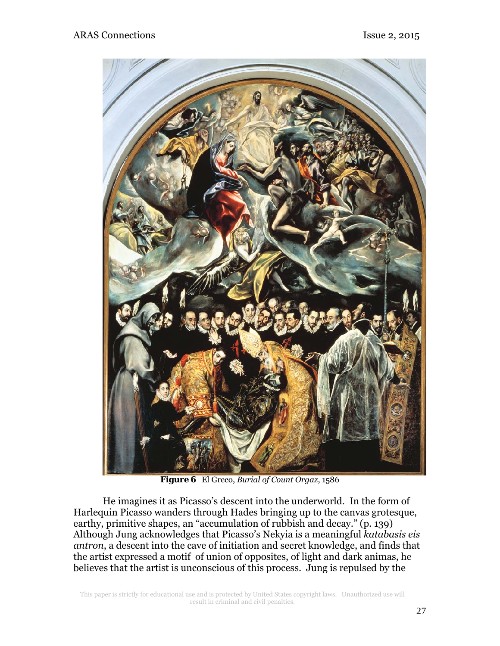

*Figure 6* El Greco, *Burial of Count Orgaz*, 1586

He imagines it as Picasso's descent into the underworld. In the form of Harlequin Picasso wanders through Hades bringing up to the canvas grotesque, earthy, primitive shapes, an "accumulation of rubbish and decay." (p. 139) Although Jung acknowledges that Picasso's Nekyia is a meaningful *katabasis eis antron*, a descent into the cave of initiation and secret knowledge, and finds that the artist expressed a motif of union of opposites, of light and dark animas, he believes that the artist is unconscious of this process. Jung is repulsed by the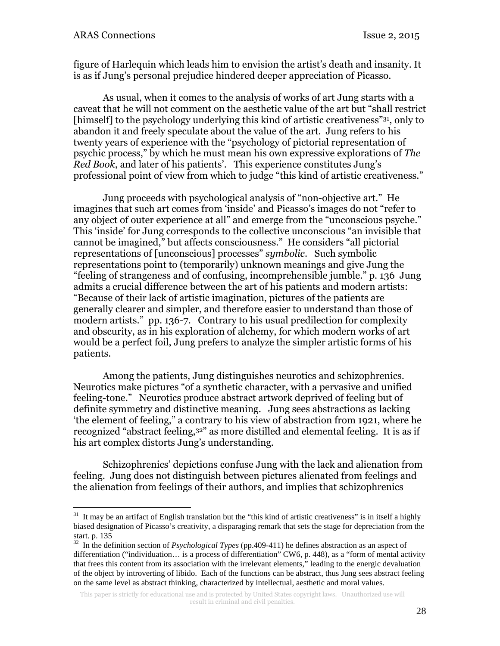figure of Harlequin which leads him to envision the artist's death and insanity. It is as if Jung's personal prejudice hindered deeper appreciation of Picasso.

As usual, when it comes to the analysis of works of art Jung starts with a caveat that he will not comment on the aesthetic value of the art but "shall restrict [himself] to the psychology underlying this kind of artistic creativeness"31, only to abandon it and freely speculate about the value of the art. Jung refers to his twenty years of experience with the "psychology of pictorial representation of psychic process," by which he must mean his own expressive explorations of *The Red Book*, and later of his patients'. This experience constitutes Jung's professional point of view from which to judge "this kind of artistic creativeness."

Jung proceeds with psychological analysis of "non-objective art." He imagines that such art comes from 'inside' and Picasso's images do not "refer to any object of outer experience at all" and emerge from the "unconscious psyche." This 'inside' for Jung corresponds to the collective unconscious "an invisible that cannot be imagined," but affects consciousness." He considers "all pictorial representations of [unconscious] processes" *symbolic*. Such symbolic representations point to (temporarily) unknown meanings and give Jung the "feeling of strangeness and of confusing, incomprehensible jumble." p. 136 Jung admits a crucial difference between the art of his patients and modern artists: "Because of their lack of artistic imagination, pictures of the patients are generally clearer and simpler, and therefore easier to understand than those of modern artists." pp. 136-7. Contrary to his usual predilection for complexity and obscurity, as in his exploration of alchemy, for which modern works of art would be a perfect foil, Jung prefers to analyze the simpler artistic forms of his patients.

Among the patients, Jung distinguishes neurotics and schizophrenics. Neurotics make pictures "of a synthetic character, with a pervasive and unified feeling-tone." Neurotics produce abstract artwork deprived of feeling but of definite symmetry and distinctive meaning. Jung sees abstractions as lacking 'the element of feeling," a contrary to his view of abstraction from 1921, where he recognized "abstract feeling,32" as more distilled and elemental feeling. It is as if his art complex distorts Jung's understanding.

Schizophrenics' depictions confuse Jung with the lack and alienation from feeling. Jung does not distinguish between pictures alienated from feelings and the alienation from feelings of their authors, and implies that schizophrenics

 $31$  It may be an artifact of English translation but the "this kind of artistic creativeness" is in itself a highly biased designation of Picasso's creativity, a disparaging remark that sets the stage for depreciation from the start. p. 135

<sup>32</sup> In the definition section of *Psychological Types* (pp.409-411) he defines abstraction as an aspect of differentiation ("individuation… is a process of differentiation" CW6, p. 448), as a "form of mental activity that frees this content from its association with the irrelevant elements," leading to the energic devaluation of the object by introverting of libido. Each of the functions can be abstract, thus Jung sees abstract feeling on the same level as abstract thinking, characterized by intellectual, aesthetic and moral values.

This paper is strictly for educational use and is protected by United States copyright laws. Unauthorized use will result in criminal and civil penalties.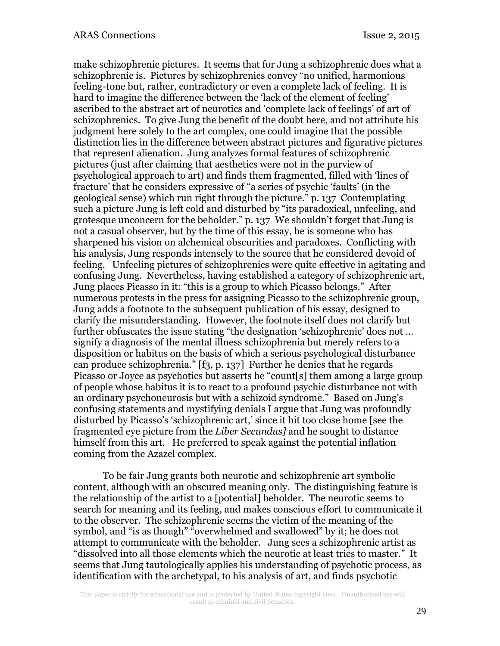make schizophrenic pictures. It seems that for Jung a schizophrenic does what a schizophrenic is. Pictures by schizophrenics convey "no unified, harmonious feeling-tone but, rather, contradictory or even a complete lack of feeling. It is hard to imagine the difference between the 'lack of the element of feeling' ascribed to the abstract art of neurotics and 'complete lack of feelings' of art of schizophrenics. To give Jung the benefit of the doubt here, and not attribute his judgment here solely to the art complex, one could imagine that the possible distinction lies in the difference between abstract pictures and figurative pictures that represent alienation. Jung analyzes formal features of schizophrenic pictures (just after claiming that aesthetics were not in the purview of psychological approach to art) and finds them fragmented, filled with 'lines of fracture' that he considers expressive of "a series of psychic 'faults' (in the geological sense) which run right through the picture." p. 137 Contemplating such a picture Jung is left cold and disturbed by "its paradoxical, unfeeling, and grotesque unconcern for the beholder." p. 137 We shouldn't forget that Jung is not a casual observer, but by the time of this essay, he is someone who has sharpened his vision on alchemical obscurities and paradoxes. Conflicting with his analysis, Jung responds intensely to the source that he considered devoid of feeling. Unfeeling pictures of schizophrenics were quite effective in agitating and confusing Jung. Nevertheless, having established a category of schizophrenic art, Jung places Picasso in it: "this is a group to which Picasso belongs." After numerous protests in the press for assigning Picasso to the schizophrenic group, Jung adds a footnote to the subsequent publication of his essay, designed to clarify the misunderstanding. However, the footnote itself does not clarify but further obfuscates the issue stating "the designation 'schizophrenic' does not … signify a diagnosis of the mental illness schizophrenia but merely refers to a disposition or habitus on the basis of which a serious psychological disturbance can produce schizophrenia." [f3, p. 137] Further he denies that he regards Picasso or Joyce as psychotics but asserts he "count[s] them among a large group of people whose habitus it is to react to a profound psychic disturbance not with an ordinary psychoneurosis but with a schizoid syndrome." Based on Jung's confusing statements and mystifying denials I argue that Jung was profoundly disturbed by Picasso's 'schizophrenic art,' since it hit too close home [see the fragmented eye picture from the *Liber Secundus]* and he sought to distance himself from this art. He preferred to speak against the potential inflation coming from the Azazel complex.

To be fair Jung grants both neurotic and schizophrenic art symbolic content, although with an obscured meaning only. The distinguishing feature is the relationship of the artist to a [potential] beholder. The neurotic seems to search for meaning and its feeling, and makes conscious effort to communicate it to the observer. The schizophrenic seems the victim of the meaning of the symbol, and "is as though" "overwhelmed and swallowed" by it; he does not attempt to communicate with the beholder. Jung sees a schizophrenic artist as "dissolved into all those elements which the neurotic at least tries to master." It seems that Jung tautologically applies his understanding of psychotic process, as identification with the archetypal, to his analysis of art, and finds psychotic

This paper is strictly for educational use and is protected by United States copyright laws. Unauthorized use will result in criminal and civil penalties.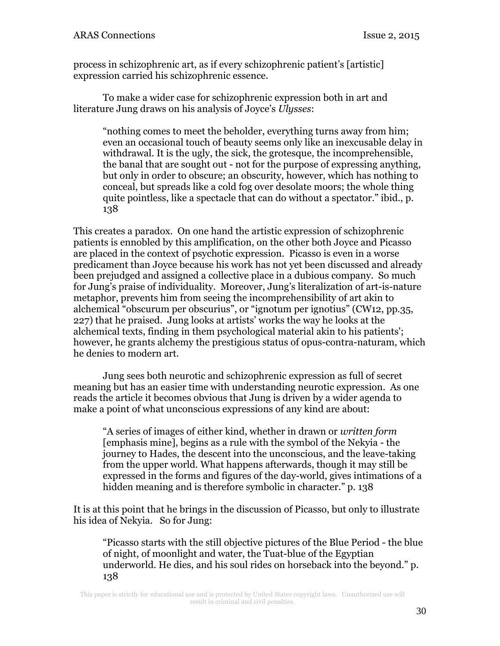process in schizophrenic art, as if every schizophrenic patient's [artistic] expression carried his schizophrenic essence.

To make a wider case for schizophrenic expression both in art and literature Jung draws on his analysis of Joyce's *Ulysses*:

"nothing comes to meet the beholder, everything turns away from him; even an occasional touch of beauty seems only like an inexcusable delay in withdrawal. It is the ugly, the sick, the grotesque, the incomprehensible, the banal that are sought out - not for the purpose of expressing anything, but only in order to obscure; an obscurity, however, which has nothing to conceal, but spreads like a cold fog over desolate moors; the whole thing quite pointless, like a spectacle that can do without a spectator." ibid., p. 138

This creates a paradox. On one hand the artistic expression of schizophrenic patients is ennobled by this amplification, on the other both Joyce and Picasso are placed in the context of psychotic expression. Picasso is even in a worse predicament than Joyce because his work has not yet been discussed and already been prejudged and assigned a collective place in a dubious company. So much for Jung's praise of individuality. Moreover, Jung's literalization of art-is-nature metaphor, prevents him from seeing the incomprehensibility of art akin to alchemical "obscurum per obscurius", or "ignotum per ignotius" (CW12, pp.35, 227) that he praised. Jung looks at artists' works the way he looks at the alchemical texts, finding in them psychological material akin to his patients'; however, he grants alchemy the prestigious status of opus-contra-naturam, which he denies to modern art.

Jung sees both neurotic and schizophrenic expression as full of secret meaning but has an easier time with understanding neurotic expression. As one reads the article it becomes obvious that Jung is driven by a wider agenda to make a point of what unconscious expressions of any kind are about:

"A series of images of either kind, whether in drawn or *written form*  [emphasis mine], begins as a rule with the symbol of the Nekyia - the journey to Hades, the descent into the unconscious, and the leave-taking from the upper world. What happens afterwards, though it may still be expressed in the forms and figures of the day-world, gives intimations of a hidden meaning and is therefore symbolic in character." p. 138

It is at this point that he brings in the discussion of Picasso, but only to illustrate his idea of Nekyia. So for Jung:

"Picasso starts with the still objective pictures of the Blue Period - the blue of night, of moonlight and water, the Tuat-blue of the Egyptian underworld. He dies, and his soul rides on horseback into the beyond." p. 138

This paper is strictly for educational use and is protected by United States copyright laws. Unauthorized use will result in criminal and civil penalties.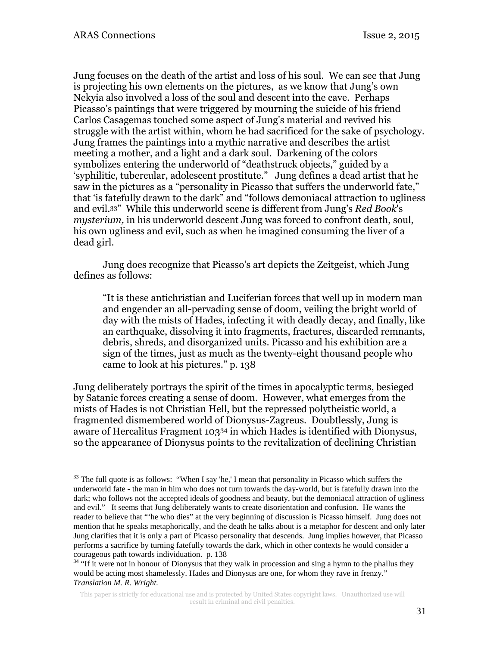Jung focuses on the death of the artist and loss of his soul. We can see that Jung is projecting his own elements on the pictures, as we know that Jung's own Nekyia also involved a loss of the soul and descent into the cave. Perhaps Picasso's paintings that were triggered by mourning the suicide of his friend Carlos Casagemas touched some aspect of Jung's material and revived his struggle with the artist within, whom he had sacrificed for the sake of psychology. Jung frames the paintings into a mythic narrative and describes the artist meeting a mother, and a light and a dark soul. Darkening of the colors symbolizes entering the underworld of "deathstruck objects," guided by a 'syphilitic, tubercular, adolescent prostitute." Jung defines a dead artist that he saw in the pictures as a "personality in Picasso that suffers the underworld fate," that 'is fatefully drawn to the dark" and "follows demoniacal attraction to ugliness and evil.33" While this underworld scene is different from Jung's *Red Book*'s *mysterium,* in his underworld descent Jung was forced to confront death, soul, his own ugliness and evil, such as when he imagined consuming the liver of a dead girl.

Jung does recognize that Picasso's art depicts the Zeitgeist, which Jung defines as follows:

"It is these antichristian and Luciferian forces that well up in modern man and engender an all-pervading sense of doom, veiling the bright world of day with the mists of Hades, infecting it with deadly decay, and finally, like an earthquake, dissolving it into fragments, fractures, discarded remnants, debris, shreds, and disorganized units. Picasso and his exhibition are a sign of the times, just as much as the twenty-eight thousand people who came to look at his pictures." p. 138

Jung deliberately portrays the spirit of the times in apocalyptic terms, besieged by Satanic forces creating a sense of doom. However, what emerges from the mists of Hades is not Christian Hell, but the repressed polytheistic world, a fragmented dismembered world of Dionysus-Zagreus. Doubtlessly, Jung is aware of Hercalitus Fragment 10334 in which Hades is identified with Dionysus, so the appearance of Dionysus points to the revitalization of declining Christian

<sup>&</sup>lt;sup>33</sup> The full quote is as follows: "When I say 'he,' I mean that personality in Picasso which suffers the underworld fate - the man in him who does not turn towards the day-world, but is fatefully drawn into the dark; who follows not the accepted ideals of goodness and beauty, but the demoniacal attraction of ugliness and evil." It seems that Jung deliberately wants to create disorientation and confusion. He wants the reader to believe that "'he who dies" at the very beginning of discussion is Picasso himself. Jung does not mention that he speaks metaphorically, and the death he talks about is a metaphor for descent and only later Jung clarifies that it is only a part of Picasso personality that descends. Jung implies however, that Picasso performs a sacrifice by turning fatefully towards the dark, which in other contexts he would consider a courageous path towards individuation. p. 138

<sup>&</sup>lt;sup>34</sup> "If it were not in honour of Dionysus that they walk in procession and sing a hymn to the phallus they would be acting most shamelessly. Hades and Dionysus are one, for whom they rave in frenzy." *Translation M. R. Wright.*

This paper is strictly for educational use and is protected by United States copyright laws. Unauthorized use will result in criminal and civil penalties.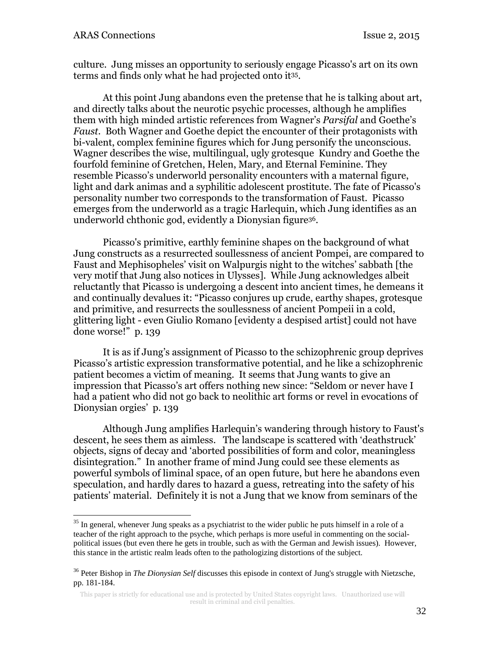culture. Jung misses an opportunity to seriously engage Picasso's art on its own terms and finds only what he had projected onto it35.

At this point Jung abandons even the pretense that he is talking about art, and directly talks about the neurotic psychic processes, although he amplifies them with high minded artistic references from Wagner's *Parsifal* and Goethe's *Faust.* Both Wagner and Goethe depict the encounter of their protagonists with bi-valent, complex feminine figures which for Jung personify the unconscious. Wagner describes the wise, multilingual, ugly grotesque Kundry and Goethe the fourfold feminine of Gretchen, Helen, Mary, and Eternal Feminine. They resemble Picasso's underworld personality encounters with a maternal figure, light and dark animas and a syphilitic adolescent prostitute. The fate of Picasso's personality number two corresponds to the transformation of Faust. Picasso emerges from the underworld as a tragic Harlequin, which Jung identifies as an underworld chthonic god, evidently a Dionysian figure36.

Picasso's primitive, earthly feminine shapes on the background of what Jung constructs as a resurrected soullessness of ancient Pompei, are compared to Faust and Mephisopheles' visit on Walpurgis night to the witches' sabbath [the very motif that Jung also notices in Ulysses]. While Jung acknowledges albeit reluctantly that Picasso is undergoing a descent into ancient times, he demeans it and continually devalues it: "Picasso conjures up crude, earthy shapes, grotesque and primitive, and resurrects the soullessness of ancient Pompeii in a cold, glittering light - even Giulio Romano [evidenty a despised artist] could not have done worse!" p. 139

It is as if Jung's assignment of Picasso to the schizophrenic group deprives Picasso's artistic expression transformative potential, and he like a schizophrenic patient becomes a victim of meaning. It seems that Jung wants to give an impression that Picasso's art offers nothing new since: "Seldom or never have I had a patient who did not go back to neolithic art forms or revel in evocations of Dionysian orgies' p. 139

Although Jung amplifies Harlequin's wandering through history to Faust's descent, he sees them as aimless. The landscape is scattered with 'deathstruck' objects, signs of decay and 'aborted possibilities of form and color, meaningless disintegration." In another frame of mind Jung could see these elements as powerful symbols of liminal space, of an open future, but here he abandons even speculation, and hardly dares to hazard a guess, retreating into the safety of his patients' material. Definitely it is not a Jung that we know from seminars of the

<sup>&</sup>lt;sup>35</sup> In general, whenever Jung speaks as a psychiatrist to the wider public he puts himself in a role of a teacher of the right approach to the psyche, which perhaps is more useful in commenting on the socialpolitical issues (but even there he gets in trouble, such as with the German and Jewish issues). However, this stance in the artistic realm leads often to the pathologizing distortions of the subject.

<sup>36</sup> Peter Bishop in *The Dionysian Self* discusses this episode in context of Jung's struggle with Nietzsche, pp. 181-184.

This paper is strictly for educational use and is protected by United States copyright laws. Unauthorized use will result in criminal and civil penalties.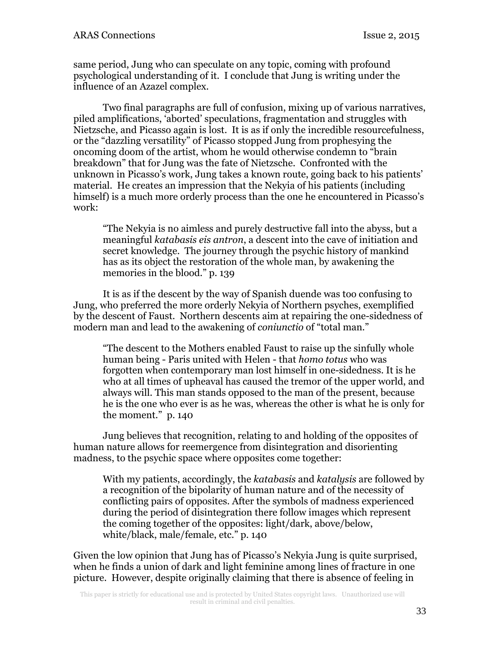same period, Jung who can speculate on any topic, coming with profound psychological understanding of it. I conclude that Jung is writing under the influence of an Azazel complex.

Two final paragraphs are full of confusion, mixing up of various narratives, piled amplifications, 'aborted' speculations, fragmentation and struggles with Nietzsche, and Picasso again is lost. It is as if only the incredible resourcefulness, or the "dazzling versatility" of Picasso stopped Jung from prophesying the oncoming doom of the artist, whom he would otherwise condemn to "brain breakdown" that for Jung was the fate of Nietzsche. Confronted with the unknown in Picasso's work, Jung takes a known route, going back to his patients' material. He creates an impression that the Nekyia of his patients (including himself) is a much more orderly process than the one he encountered in Picasso's work:

"The Nekyia is no aimless and purely destructive fall into the abyss, but a meaningful *katabasis eis antron*, a descent into the cave of initiation and secret knowledge. The journey through the psychic history of mankind has as its object the restoration of the whole man, by awakening the memories in the blood." p. 139

It is as if the descent by the way of Spanish duende was too confusing to Jung, who preferred the more orderly Nekyia of Northern psyches, exemplified by the descent of Faust. Northern descents aim at repairing the one-sidedness of modern man and lead to the awakening of *coniunctio* of "total man."

"The descent to the Mothers enabled Faust to raise up the sinfully whole human being - Paris united with Helen - that *homo totus* who was forgotten when contemporary man lost himself in one-sidedness. It is he who at all times of upheaval has caused the tremor of the upper world, and always will. This man stands opposed to the man of the present, because he is the one who ever is as he was, whereas the other is what he is only for the moment." p. 140

Jung believes that recognition, relating to and holding of the opposites of human nature allows for reemergence from disintegration and disorienting madness, to the psychic space where opposites come together:

With my patients, accordingly, the *katabasis* and *katalysis* are followed by a recognition of the bipolarity of human nature and of the necessity of conflicting pairs of opposites. After the symbols of madness experienced during the period of disintegration there follow images which represent the coming together of the opposites: light/dark, above/below, white/black, male/female, etc." p. 140

Given the low opinion that Jung has of Picasso's Nekyia Jung is quite surprised, when he finds a union of dark and light feminine among lines of fracture in one picture. However, despite originally claiming that there is absence of feeling in